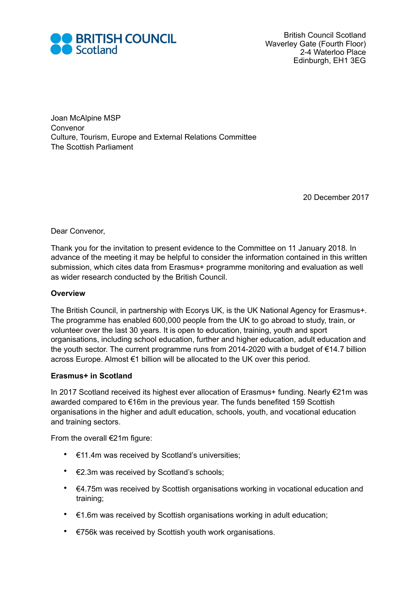

Joan McAlpine MSP Convenor Culture, Tourism, Europe and External Relations Committee The Scottish Parliament

20 December 2017

Dear Convenor,

Thank you for the invitation to present evidence to the Committee on 11 January 2018. In advance of the meeting it may be helpful to consider the information contained in this written submission, which cites data from Erasmus+ programme monitoring and evaluation as well as wider research conducted by the British Council.

## **Overview**

The British Council, in partnership with Ecorys UK, is the UK National Agency for Erasmus+. The programme has enabled 600,000 people from the UK to go abroad to study, train, or volunteer over the last 30 years. It is open to education, training, youth and sport organisations, including school education, further and higher education, adult education and the youth sector. The current programme runs from 2014-2020 with a budget of €14.7 billion across Europe. Almost €1 billion will be allocated to the UK over this period.

## **Erasmus+ in Scotland**

In 2017 Scotland received its highest ever allocation of Erasmus+ funding. Nearly €21m was awarded compared to €16m in the previous year. The funds benefited 159 Scottish organisations in the higher and adult education, schools, youth, and vocational education and training sectors.

From the overall €21m figure:

- €11.4m was received by Scotland's universities;
- €2.3m was received by Scotland's schools;
- €4.75m was received by Scottish organisations working in vocational education and training;
- $\cdot$   $\in$  1.6m was received by Scottish organisations working in adult education;
- €756k was received by Scottish youth work organisations.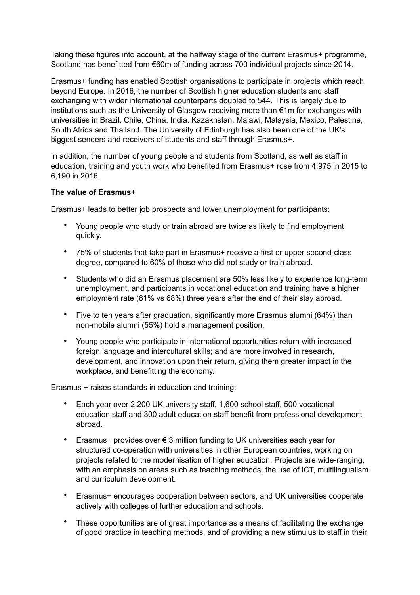Taking these figures into account, at the halfway stage of the current Erasmus+ programme, Scotland has benefitted from €60m of funding across 700 individual projects since 2014.

Erasmus+ funding has enabled Scottish organisations to participate in projects which reach beyond Europe. In 2016, the number of Scottish higher education students and staff exchanging with wider international counterparts doubled to 544. This is largely due to institutions such as the University of Glasgow receiving more than €1m for exchanges with universities in Brazil, Chile, China, India, Kazakhstan, Malawi, Malaysia, Mexico, Palestine, South Africa and Thailand. The University of Edinburgh has also been one of the UK's biggest senders and receivers of students and staff through Erasmus+.

In addition, the number of young people and students from Scotland, as well as staff in education, training and youth work who benefited from Erasmus+ rose from 4,975 in 2015 to 6,190 in 2016.

## **The value of Erasmus+**

Erasmus+ leads to better job prospects and lower unemployment for participants:

- Young people who study or train abroad are twice as likely to find employment quickly.
- 75% of students that take part in Erasmus+ receive a first or upper second-class degree, compared to 60% of those who did not study or train abroad.
- Students who did an Erasmus placement are 50% less likely to experience long-term unemployment, and participants in vocational education and training have a higher employment rate (81% vs 68%) three years after the end of their stay abroad.
- Five to ten years after graduation, significantly more Erasmus alumni (64%) than non-mobile alumni (55%) hold a management position.
- Young people who participate in international opportunities return with increased foreign language and intercultural skills; and are more involved in research, development, and innovation upon their return, giving them greater impact in the workplace, and benefitting the economy.

Erasmus + raises standards in education and training:

- Each year over 2,200 UK university staff, 1,600 school staff, 500 vocational education staff and 300 adult education staff benefit from professional development abroad.
- Erasmus+ provides over € 3 million funding to UK universities each year for structured co-operation with universities in other European countries, working on projects related to the modernisation of higher education. Projects are wide-ranging, with an emphasis on areas such as teaching methods, the use of ICT, multilingualism and curriculum development.
- Erasmus+ encourages cooperation between sectors, and UK universities cooperate actively with colleges of further education and schools.
- These opportunities are of great importance as a means of facilitating the exchange of good practice in teaching methods, and of providing a new stimulus to staff in their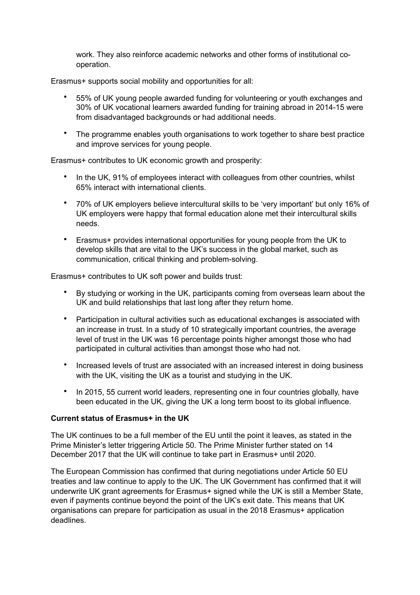work. They also reinforce academic networks and other forms of institutional cooperation.

Erasmus+ supports social mobility and opportunities for all:

- 55% of UK young people awarded funding for volunteering or youth exchanges and 30% of UK vocational learners awarded funding for training abroad in 2014-15 were from disadvantaged backgrounds or had additional needs.
- The programme enables youth organisations to work together to share best practice and improve services for young people.

Erasmus+ contributes to UK economic growth and prosperity:

- In the UK, 91% of employees interact with colleagues from other countries, whilst 65% interact with international clients.
- 70% of UK employers believe intercultural skills to be 'very important' but only 16% of UK employers were happy that formal education alone met their intercultural skills needs.
- Erasmus+ provides international opportunities for young people from the UK to develop skills that are vital to the UK's success in the global market, such as communication, critical thinking and problem-solving.

Erasmus+ contributes to UK soft power and builds trust:

- By studying or working in the UK, participants coming from overseas learn about the UK and build relationships that last long after they return home.
- Participation in cultural activities such as educational exchanges is associated with an increase in trust. In a study of 10 strategically important countries, the average level of trust in the UK was 16 percentage points higher amongst those who had participated in cultural activities than amongst those who had not.
- Increased levels of trust are associated with an increased interest in doing business with the UK, visiting the UK as a tourist and studying in the UK.
- In 2015, 55 current world leaders, representing one in four countries globally, have been educated in the UK, giving the UK a long term boost to its global influence.

## **Current status of Erasmus+ in the UK**

The UK continues to be a full member of the EU until the point it leaves, as stated in the Prime Minister's letter triggering Article 50. The Prime Minister further stated on 14 December 2017 that the UK will continue to take part in Erasmus+ until 2020.

The European Commission has confirmed that during negotiations under Article 50 EU treaties and law continue to apply to the UK. The UK Government has confirmed that it will underwrite UK grant agreements for Erasmus+ signed while the UK is still a Member State, even if payments continue beyond the point of the UK's exit date. This means that UK organisations can prepare for participation as usual in the 2018 Erasmus+ application deadlines.